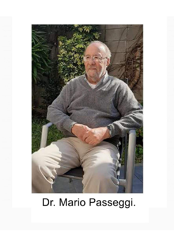

# Dr. Mario Passeggi.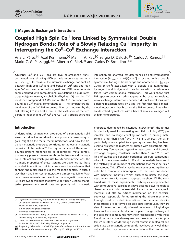



# **Magnetic Exchange Interactions**

# **Coupled High Spin CoII Ions Linked by Symmetrical Double Hydrogen Bonds: Role of a Slowly Relaxing Cu<sup>II</sup> Impurity in Interrupting the Co<sup>II</sup>–Co<sup>II</sup> Exchange Interaction**

Ana L. Pérez,<sup>[a]</sup> Axel Kemmerer,<sup>[a]</sup> Marilin A. Rey,<sup>[a]</sup> Sergio D. Dalosto,<sup>[b]</sup> Carlos A. Ramos,<sup>[c]</sup> Mario C. G. Passeggi,<sup>[a,b]</sup> Alberto C. Rizzi,<sup>[a]</sup> and Carlos D. Brondino \*<sup>[a]</sup>

Abstract: Co<sup>II</sup> and Cu<sup>II</sup> ions are two paramagnetic transition metal ions showing different relaxation rates (*ν*), with  $v_{\rm Co}$ <sup>II</sup> >>  $v_{\rm Cu}$ <sup>II</sup>. To measure the isotropic exchange constant (J) between high spin Co<sup>II</sup> ions and between Cu<sup>II</sup> ions and high spin Co<sup>II</sup> ions, we performed magnetic and EPR measurements complemented with computational calculations on pure transdiaqua-bis(picolinato-N,O)-cobalt(II) dihydrate (1), on the Cu<sup>II</sup> ion doped compound of 1 (2), and on the Cu<sup>II</sup> ion doped compound in a Zn<sup>II</sup> matrix isomorphous to 1. The temperature dependence of the Cu<sup>II</sup> EPR resonance lines of 2 induced by the fast relaxing  $Co<sup>II</sup>$  ion host as well as the evaluation of the temperature-independent Co<sup>II</sup>–Co<sup>II</sup> and Cu<sup>II</sup>–Co<sup>II</sup> isotropic exchange

# **Introduction**

Understanding of magnetic properties of paramagnetic solid state transition ion coordination compounds is mandatory to gain insight on the metal–metal interactions and how the single ion magnetic properties contribute to the overall magnetic behavior of the system.<sup>[1]</sup> The crystal lattices of these compounds present mononuclear or oligonuclear metal centers, that usually present inter-center through-distance and throughbond interactions which give rise to extended interactions. The magnetic properties of these systems are governed by those extended interactions, but in some cases the molecules that connect the metal ions shield the magnetic centers, in such a way that make inter-center interactions almost negligible. Magnetic measurements and electron paramagnetic resonance (EPR) are two techniques that have widely been used to characterize paramagnetic solid state compounds with magnetic

Supporting information and ORCID(s) from the author(s) for this article are

interaction are analyzed. We determined an antiferromagnetic interaction  $[J_{Co-Co} = -1.07(1) \text{ cm}^{-1}]$  associated with a double symmetrical hydrogen bond bridge and another one  $[|J|_{Co-Cu}$  = 0.0015(2)  $cm^{-1}$ ] associated with a double but asymmetrical hydrogen bond bridge, which are in line with the values obtained from computational calculations. This work shows that EPR spectroscopy can advantageously be used to evaluate weak exchange interactions between distinct metal ions with different relaxation rates by using the fact that those metal– metal interactions that broaden the EPR resonance line, which are described by matrices with a trace of zero, are averaged out at high temperatures.

properties determined by extended interactions;[2] the former is principally used for evaluating zero field splitting (ZFS) parameters and exchange coupling constants (J) among metal centers larger than 1 cm<sup>-1</sup> ( $H_{ex} = -J S_1 \cdot S_2$ ), whereas the latter, particularly when applied to single crystal samples, has been used to evaluate the matrices associated with anisotropic interactions (e.g. Zeeman and hyperfine interactions) and isotropic exchange coupling constants smaller than 1 cm<sup>-1</sup>.<sup>[1d,3]</sup> Both kind of studies are generally performed on pure compounds, which in some cases make it difficult the analysis because of the relatively large number of interactions that must be taken into account. This difficulty may be overcome by using diamagnetic host compounds isomorphous to the pure one doped with magnetic impurities, which pursues to isolate the magnetic center from its nearest magnetic neighbors.[4] The combined use of these experimental techniques complemented with computational calculations have become powerful tools to characterize not only the essential blocks that form a magnetic material, but also to extract information on the chemical pathways responsible for transmitting the above mentioned through-bond extended interactions. Furthermore, despite these studies are performed on solid state compounds, they are also of interest in the study of metal containing biological systems, as the essential blocks and superexchange pathways of the solid state compounds may show resemblances with those found in redox metalloenzymes and electron transfer proteins.[5] In other words, though metal centers in biological and solid state paramagnetic compounds may have very well differentiated roles, they present common features that can be used

<sup>[</sup>a] Departamento de Física, Facultad de Bioquímica y Ciencias Biológicas, Universidad Nacional del Litoral - CONICET, Ciudad Universitaria, S3000ZAA Santa Fe, Argentina E-mail: brondino@fbcb.unl.edu.ar www.fbcb.unl.edu.ar/dfbioq

<sup>[</sup>b] Instituto de Física del Litoral, Universidad Nacional del Litoral - CONICET, Güemes 3450, 3000 Santa Fe, Argentina

<sup>[</sup>c] Centro Atómico Bariloche, Comisión Nacional de Energía Atómica, Av. Bustillo 9500, 8400 Bariloche, Río Negro, Argentina

available on the WWW under https://doi.org/10.1002/ejic.201800593.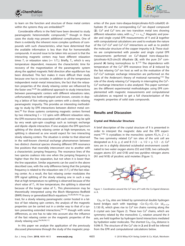



to learn on the function and structure of these metal centers within the systems they are embedded.<sup>[6]</sup>

Considerable efforts in the field have been devoted to study paramagnetic heterometallic compounds,<sup>[7]</sup> though in these cases the study may present additional complications. One of them is evidently the inherent more complex synthesis of compounds with such characteristics, what have determined that the available information is less than that for homometallic compounds. A second issue to be taken into account is that the interacting magnetic centers may have different relaxation times  $T_1$  or relaxation rates ( $v=1/T_1$ ). Briefly,  $T_1$ , which is very temperature dependent, measures the characteristic time for recovery of the magnetization of the paramagnetic system along the applied magnetic field direction after equilibrium has been disturbed. This fact makes it more difficult their study because one has to consider, in addition to all the temperature independent metal–metal interactions, the fact that the relaxation properties of the slowly relaxing center are influenced by the faster one.<sup>[5a,8]</sup> An additional approach to study interactions between paramagnetic centers with different relaxations rates, unfortunately less both employed and known, consists in doping a lattice of fast relaxing spin centers with a slowly relaxing paramagnetic impurity. This provides an interesting methodology to study by EPR interactions between distinct metal centers.<sup>[9]</sup> For those systems containing magnetic centers formed by two interacting  $S = 1/2$  spins with different relaxation rates, the EPR resonance line associated with each center may be split by very weak spin-spin couplings such as isotropic exchange and dipole–dipole interaction. If one analyzes the EPR spectrum splitting of the slowly relaxing center at high temperature, no splitting is observed as one would expect for two interacting slowly relaxing centers. The situation is similar to that observed in the well-known chemical exchange phenomenon between two distinct chemical species showing different EPR resonance line positions that reversibly interconvert one to another with a characteristic jumping frequency. The resonance lines of the two species coalesce into one when the jumping frequency is higher than the line separation, but not when it is lower than the line separation. Similar arguments can be used in the above described case, with the only difference being that the jumping frequency is related to the relaxation rate  $(1/T<sub>1</sub>)$  of the fast relaxing center. As a result, the fast relaxing center modulates the EPR signal splitting of the slowly relaxing one in such a way that at high temperature no splitting is observed because of the short value of  $T_1$ . At low temperature, the splitting is observed because of the longer value of  $T_1$ . This phenomenon may be theoretically interpreted using the Bloch–Wangsness–Redfield (BWR) theory or generalized Bloch equations.[5a,8a,8b,9e,10] In contrast, for a slowly relaxing paramagnetic center hosted in a lattice of fast relaxing spin centers, the analysis of the magnetic properties can be carried out in a similar way to that of a system presenting extended interactions, $[3a-3c]$  though with some differences, as one has to take into account also the influence of the fast relaxing center on the magnetic properties of the slowly relaxing one.<sup>[9a,9b,9d,11]</sup>

In this paper we analyze the application of the previously discussed phenomena through the study of the magnetic properties of the pure trans-diaqua-bis(picolinato-N,O)-cobalt(II) dihydrate (1) and the corresponding Cu<sup>II</sup> ion doped compound (2). Co<sup>II</sup> and Cu<sup>II</sup> ions are two transition metal ions showing different relaxation rates, with  $v_{\text{Co}}$ <sup>II</sup> >>  $v_{\text{Cu}}$ <sup>II</sup>. Magnetic and powder and single crystal EPR measurements of **1** and **2** together with computational calculations are used to evaluate the nature of the  $Co<sup>II</sup>-Co<sup>II</sup>$  and  $Cu<sup>II</sup>-Co<sup>II</sup>$  interactions as well as to predict the molecular structure of the copper impurity in **2**. These studies are complemented with powder and single crystal EPR measurements performed on Cu<sup>II</sup>-doped trans-diaqua-bis-(picolinato-N,O)-zinc(II) dihydrate  $(3)$ , with the pure Zn<sup>II</sup> compound (**4**) being isomorphous to **1**. [12] The dependence with temperature of the Cu<sup>II</sup> EPR resonance lines of 2 induced by the fast relaxing  $Co<sup>II</sup>$  ion host as well as the evaluation of the Co<sup>II</sup>–Cu<sup>II</sup> isotropic exchange interaction are performed on the basis of the Anderson's theory of motional narrowing.<sup>[13]</sup> The role of the slowly relaxing Cu<sup>ll</sup> impurity in interrupting the Co<sup>ll</sup>-Co<sup>II</sup> exchange interaction is also analyzed. This paper summarizes the different experimental methodologies using EPR complemented with magnetic measurements and computational calculations as required to get a full characterization of the magnetic properties of solid state compounds.

# **Results and Discussion**

#### **Crystal and Molecular Structure**

A brief description of the crystal structure of **1** is presented in order to interpret the magnetic data and the EPR experiment.<sup>[12b]</sup> **1** crystallizes in the monoclinic system  $P2_1/n$ ,  $Z = 2$ . The two symmetry related  $Co<sup>H</sup>$  ion sites of the unit cell are designated as A (x, y, z) and B (1/2 – x, 1/2 + y, 1/2 – z). Co<sup>II</sup> ions are in a slightly distorted octahedral environment coordinated to two water oxygen atoms (O2 and O2B), two carboxylic oxygen atoms (O1 and O1B) and two pyridine nitrogen atoms (N1 and N1B) of picolinic acid moieties (Figure 1).



Figure 1. Coordination around the Co<sup>II</sup> ions of 1 with the Co-ligand distances in Å.

 $Co<sub>A</sub>$  or  $Co<sub>B</sub>$  sites are linked by symmetrical double hydrogen bond bridges each with topology –Co–O<sub>2</sub>···O<sub>1</sub>–Co- (d<sub>Co–Co</sub>, 5.130 Å), which gives rise to  $Co<sup>II</sup>$  ion chains running along the b crystal axis (see Figure 2). These two  $Co<sup>H</sup>$  chains, which are symmetry related by the monoclinic  $C_2$  rotation around the b axis, are held together by hydrogen bond interactions mediated by hydration water molecules. The shortest  $Co<sub>A</sub>-Co<sub>B</sub>$  distance is 9.096 Å. The structure of the Cu<sup>II</sup> site in **2** and **3** will be inferred from the EPR and computational calculations below.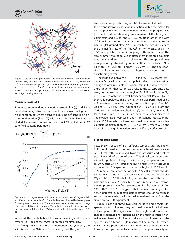



Figure 2. Crystal lattice perspective showing the hydrogen bond network (dotted lines) that links the symmetry related  $Co<sup>H</sup>$  ions of **1**.  $Co<sub>A</sub>$  stands for Co<sup>II</sup> ions at the general position (x, y, z) whereas those labeled Co<sub>B</sub> at (1/2 – x,  $1/2 + y$ ,  $1/2 - z$ ). Co<sup>II</sup>–Co<sup>II</sup> distances in Å are indicated as black double arrows. Chemical pathways bridging Co<sup>II</sup> ions are labeled with the associated exchange coupling constants J.

#### **Magnetic Data of 1**

Temperature-dependent magnetic susceptibility  $(\chi)$  and fielddependent magnetization (M) results are shown in Figure 3. Magnetization data were analyzed assuming  $Co<sup>H</sup>$  ions in a highspin configuration  $(S = 3/2)$  with a spin Hamiltonian that included the Zeeman interaction, and axial  $(D)$  and rhombic  $(E)$ zero field splitting parameters



Figure 3. Molar magnetization M in  $N_A\mu_B$  units as a function of magnetic field at 2 K of a powder sample of **1**. The solid line was obtained by least-squares fitting Equation 1 to the data. The inset shows the inverse of the molar magnetic susceptibility vs. temperature. The solid line in the inset was obtained by least-squares fitting a Curie–Weiss model to the data in the range of 2– 12 K.

where all the symbols have the usual meaning and the sum over all Co<sup>II</sup> sites of the crystal is omitted for simplicity.

A fitting procedure of the magnetization data yielded  $g_{iso}$  = 2.419(4) and  $D = 68.0(1)$  cm<sup>-1</sup>, indicating that the ground dou-



blet state corresponds to  $M<sub>S</sub> = \pm 1/2$ . Inclusion of rhombic distortion and isotropic exchange interaction within the molecular field approximation, as implemented in the PHI program (see Exp. Sect.), did not show any improvement of the fitting. ZFS parameters and  $g_{iso}$  for the  $S = 3/2$  multiplet are in line with  $Co<sup>II</sup>$  ions in a pseudo octahedral coordination showing an orbital singlet ground state  $({}^4A_{2g})$  in which the two doublets of the original <sup>4</sup>F state of the free Co<sup>II</sup> ion ( $M_S = \pm 1/2$  and  $M_S =$  $\pm$ 3/2) are split by spin-orbit coupling with excited states. The axial symmetry found for ZFS indicates that these split doublets may be considered pure in character. This compound was also previously studied by other authors, who found  $D =$ 84.24 cm<sup>-1</sup>,  $E = 2.34$  cm<sup>-1</sup> and  $zJ = -0.05$  cm<sup>-1</sup>.<sup>[14]</sup> The discrepancies are likely due to the fact that these authors considered an anisotropic g-factor.

The large gap between  $M_s = \pm 1/2$  and  $M_s = \pm 3/2$  states (2D = 136 cm<sup>-1</sup>) reveals that the susceptibility data are not sensitive enough to obtain reliable ZFS parameters in the whole temperature range. For that reason, we analyzed the susceptibility data solely in the low temperature region (2–12 K, see inset on Figure 3), where only the lowest Kramers doublet ( $M<sub>S</sub> = \pm 1/2$ ) is thermally populated. This analysis, which was performed using a Curie–Weiss model assuming an effective spin  $S' = 1/2$ , yielded  $C = 2.146(2)$  emu K/mol and  $\theta = -0.77(2)$  K. From the Curie constant value, we obtained  $q'_{iso} = 4.784(1)$ , compatible for a high spin  $Co<sup>II</sup>$  ion in an octahedral environment.<sup>[15]</sup> The *θ* value reveals very weak antiferromagnetic interaction between Co<sup>II</sup> ions, which allowed us to estimate under the molecular field approximation  $zJ_{1/2} = -2.14(2)$  cm<sup>-1</sup>, where  $J_{1/2}$  is the isotropic exchange interaction between  $S' = 1/2$  effective spins.

#### **EPR Measurements**

Powder EPR spectra of **1** at different temperatures are shown in Figure 4, panel A. **1** presents an intense broad resonance at ca. 150 mT with no resolved hyperfine structure and peak to peak linewidth of ca. 60 mT at 4 K. This signal can be detected without significant changes on increasing temperature up to ca. 90 K, after which it broadens due to relaxation effects up to no detection. This spectrum is typical of high spin Co<sup>II</sup> ions (S =  $3/2$ ) in octahedral coordination with ZFS  $> 0$ , in which the detected EPR transition occurs only within the ground doublet  $(M<sub>S</sub> = ± 1/2).$ <sup>[15a,16]</sup> The lack of hyperfine structure with the cobalt nucleus ( $I = 7/2$ , typically Co<sup>II</sup> ions in octahedral environments present hyperfine parameters in the range of 20–  $180 \times 10^{-4}$  cm<sup>-1</sup>)<sup>[15b,17]</sup> suggests that the weak exchange interaction detected by magnetic data is strong enough to collapse such a structure, which will be further analysed below from the single crystal EPR experiment.

Figure 4, panel B, shows two representative single crystal EPR spectra for two different magnetic field orientations indicated in the caption to the Figure. One or two single nearly Lorentzian shaped resonance lines depending on the magnetic field orientation are observed, in line with the monoclinic nature of the system. Since a broad single resonance line in the EPR experiment can be produced by anisotropic dipole–dipole interactions (anisotropic and antisymmetric exchange are usually ne-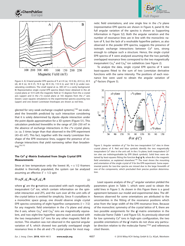





Figure 4. A) X-band powder EPR spectra of **1** at 4 K (a), 10 K (b), 20 K (c), 30 K (d), 40 K (e), 50 K (f), 70 K (g), 90 K (h), 110 K (i), and 130 K (j) under nonsaturating conditions. The small signal at ca. 300 mT is a cavity background. B) Representative single crystal EPR spectra (black lines) obtained in the ab crystal plane at 10 K with the magnetic field at 15 degrees from the a crystal axis (upper) and in the  $c^*a$  crystal plane at 165 degrees from the  $c^*$  axis (lower). Least squares simulations to the experimental spectra assuming two (upper) and one (lower) Lorentzian lineshapes are shown as red lines.

glected for very weak exchange coupled systems), [18] we evaluated the linewidth predicted by such interaction considering that it is solely determined by dipole–dipole interaction under the point dipole approximation for a 3D system (Figure S1). This calculation predicted linewidths in the range of 230–250 mT in the absence of exchange interactions in the  $c^*a$  crystal plane, i.e. ca. 5 times larger than that observed in the EPR experiment (43–65 mT). This fact, together with the nearly Lorentzian lineshape of the EPR resonance lines, suggest the presence of exchange interactions that yield narrowing rather than broadening.[3a,15]

### **The CoII g**′**-Matrix Evaluated from Single Crystal EPR Measurements**

Since at low temperature only the lowest  $M<sub>S</sub> = \pm 1/2$  Kramers doublet is thermally populated, the system can be analysed assuming an effective  $S' = 1/2$  spin

$$
H = \mu_B \mathbf{S}'_A \cdot \mathbf{g}'_A \cdot \mathbf{B} + \mu_B \mathbf{S}'_B \cdot \mathbf{g}'_B \cdot \mathbf{B}
$$
 (2)

where **g**′ are the **g**-matrices associated with each magnetically inequivalent Co<sup>II</sup> ion, which contain information on the spinorbit interaction and ZFS, and the sum over all the unit cells of the crystal lattice is omitted for simplicity. Since **1** crystallizes in a monoclinic space group, one should observe single crystal EPR spectra consisting of eight hyperfine components  $(I = 7/2)$ for any magnetic field orientation in the  $c^*a$  plane and along the b axis, where  $Co_A^{\{||}}$  and  $Co_B^{\{||}}$  ions are magnetically equivalent, and two eight-line hyperfine spectra each associated with the two inequivalent  $Co<sup>II</sup>$  ions for any other magnetic field direction. This situation was not observed in the spectral angular variation of **1**, which showed two partially overlapped single resonance lines in the  $ab$  and  $c*b$  crystal planes for most magnetic field orientations, and one single line in the  $c^*a$  plane (representative EPR spectra are shown in Figure 4, panel B; the full angular variation of the spectra is shown as Supporting Information in Figure S2). Both the angular variation and the number of resonance lines are in line with the monoclinic nature of **1**, but the lack of a resolvable hyperfine pattern, as also observed in the powder EPR spectra, suggests the presence of isotropic exchange interactions between Co<sup>II</sup> ions, strong enough to collapse such a structure. Hence, the single crystal EPR spectra of **1** were analysed assuming that the two partially overlapped resonance lines correspond to the two magnetically inequivalent  $Co_A$ <sup>"</sup> and  $Co_B$ <sup>"</sup> ion sublattices (see Figure 2).

To analyze the data, single crystal EPR spectra of **1** were least-squares fitted to the sum of two Lorentzian derivative functions with the same intensity. The positions of each resonance line were used to obtain the angular variation of g<sup>'2</sup>-factors (Figure 5).



Figure 5. Angular variation of  $g^2$  for the two inequivalent Co<sup>II</sup> sites in three crystal planes of **1**. Red and blue symbols identify the two magnetically inequivalent Co<sup>II</sup> sites in the unit cell. In the  $c^*a$  plane, both inequivalent Co<sup>II</sup> ion sites are indistinguishable by EPR (black symbols). Solid lines were obtained by least-squares fitting the function **h·g**′**·g**′**·h**, where **h** is the magnetic field orientation, as explained elsewhere.<sup>[19]</sup> The inset shows the mounting and orientation of the single crystal of **1** for the EPR experiment. Some experimental points for two-line spectra are missed due to the large linewidth of one of the components, which precluded their precise position determination.

Least squares analysis of the  $g^2$  angular variation yielded the parameters given in Table 1, which were used to obtain the solid lines in Figure 5. As shown in this Figure there is a good agreement between our model and experimental data. The differences observed for some orientations are attributed to the uncertainties in the fitting of the resonance positions which arise from the large width of the EPR resonance lines. Because of the monoclinic symmetry of the crystal lattice of **1**, there are two possible assignments for the **g**′-matrix orientation in the molecular frame (Table 1 and Figure S3). As previously observed for low symmetry  $Co<sup>II</sup>$  ions in high-spin configuration, the two possible orientations of the **g**′-matrix do not show any particular direction relative to the molecular frame.<sup>[15a]</sup> and references cited therein.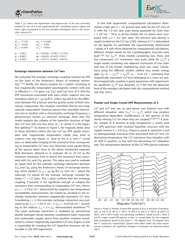

Table 1.  $g'^2$ -matrix and eigenvalues and eigenvectors of the two symmetry related Co<sup>II</sup> ions of 1 in the experimental  $abc^*$  coordinate system. Upper and lower signs correspond to the two possible orientations due to the monoclinic nature of **1**.

| $q_{xx}^2 = 17.7(4)$ | $q_{xy}^2 = \pm 12.0(6)$                         |
|----------------------|--------------------------------------------------|
| $g_{yy}^2$ = 16.6(5) | $q_{zx}^2 = -6.0(5)$                             |
| $q_{zz}^2 = 25.6(4)$ | $g_{zy}^2 = \pm 9.6(5)$                          |
| $q_1 = 2.20(1)$      | $a_1 = [0.62(2), \pm 0.76(1), -0.17(3)]$         |
| $q_2 = 4.08(7)$      | $\mathbf{a}_2 = [0.60(3), \pm 0.32(3), 0.74(1)]$ |
| $q_3 = 6.22(5)$      | $a_3 = [0.51(1), \pm 0.56(1), -0.65(1)]$         |

#### **Exchange Interaction between CoII Ions**

We evaluated the isotropic exchange coupling constant by EPR on the basis of the Anderson's theory of motional narrowing.<sup>[13,20]</sup> Briefly, this theory predicts for a system consisting of two magnetically inequivalent paramagnetic centers with real or effective  $S = 1/2$  spins, e.g.  $Co_A^{\Pi}$  and  $Co_B^{\Pi}$  ions of **1**, that the EPR resonances associated with each center coalesce into one resonance when  $|J| > \mu_B \cdot \Delta q \bar{B}/2$ **·**, where  $\Delta q$  and B are the difference between the g-factors and the gravity center of both resonances, respectively. This situation resembles that for two magnetically inequivalent chemical species that reversibly interconvert one to another with a characteristic exchange frequency, a phenomenon known as chemical exchange. Note that this model explains the collapse of the hyperfine structure of high spin Co<sup>II</sup> ions into one line when  $|J| > A$ , where A is the hyperfine splitting.<sup>[21]</sup> As shown in Figure 5, for magnetic fields close to those directions where the two Co<sup>II</sup> ion EPR signals associated with magnetically inequivalent cobalt sites tend to coalesce into one signal, i.e. close to the  $b$ ,  $a$ , and  $c^*$  crystal axes, no detectable merging of the resonance lines corresponding to inequivalent Co<sup>II</sup> ions was observed. Least square fitting of the spectra taken close to the above mentioned magnetic field directions, allowed us to evaluate  $\Delta B$  ca. 20 mT as the minimum resolution limit to detect the resonance lines associated with  $Co<sub>A</sub>$  and  $Co<sub>B</sub>$  species. This value was used to evaluate an upper limit for the isotropic exchange interaction between  $Co<sub>A</sub>$  and  $Co<sub>B</sub>$  using the Anderson's theory of exchange narrowing, which predicts  $|J_{1/2}| < \mu_B \cdot \Delta g$  B/2 ca. 0.02 cm<sup>-1</sup>, where the subscript 1/2 stands for the isotropic exchange constant between  $S' = 1/2$  spins. This J value confirms that the exchange coupling, if present, is not significant enough to collapse the resonance lines corresponding to inequivalent Co<sup>II</sup> ions. Hence,  $Z_{1/2}$  = -2.14(2) cm<sup>-1</sup> determined by magnetic low temperature susceptibility measurements can mainly be ascribed to the exchange interaction between magnetically equivalent  $Co<sup>II</sup>$  ions. Considering  $z = 2$ , this isotropic exchange interaction was evaluated to be  $J_{1/2} = -1.07(1)$  cm<sup>-1</sup>  $\equiv J_{3/2} = -0.357(3)$  cm<sup>-1</sup>, according to the relation  $J_{1/2} = 3 \times J_{3/2}$  demonstrated elsewhere.<sup>[15b]</sup> This weak exchange interaction is mediated by symmetrical double hydrogen bonds between coordinated water molecules and carboxylate oxygen atoms from picolinic moieties coordinated to closest magnetically equivalent  $Co<sup>II</sup>$  ions (Figure 2) and is responsible for merging the  $Co<sup>II</sup>$  hyperfine structure, not detectable in the EPR experiment.



In line with experiment, computational calculations determined a high spin  $S = 3/2$  ground spin state for the Co<sup>II</sup> ions of **1**, with the 1/2 low spin state being separated by more than  $1 \times 10^{4}$  cm<sup>-1</sup>. Thus, in all the models the Co atoms were computed with a  $S = 3/2$  spin state. The electron spin density is mainly located on the Co<sup>II</sup> ion (2.83), whereas 0.17 is delocalized on the ligands. To rationalize the experimentally determined J values in **1** with those obtained by computational calculations, different models based on the crystallographic structure were built.<sup>[12b]</sup> For  $J_{3/2}$ <sup>AA</sup>, three models containing two, three, and five consecutive Co<sup>II</sup> monomers were built, while for  $J_{3/2}^{AB}$  a single model containing two adjacent monomers of one chain and two of the closest neighboring chain was used. Calculations using the different models yielded very similar energy gaps  $E_{AF}-E_F \approx J_{3/2}^{AA} = J_{3/2}^{BB}$  ca. – 0.24 cm<sup>-1</sup>, indicating that magnetically equivalent  $Co<sup>II</sup>$  ions belonging to a chain are antiferromagnetically coupled in good agreement with experiment. No significant  $J_{3/2}^{AB}$  was detected, i.e. it fell into the detection limit of the energies calculated with this computational method (see Exp. Sect.).

#### **Powder and Single Crystal EPR Measurements of 2**

 $Cu<sup>II</sup>$  and  $Co<sup>II</sup>$  ions are, as said above, two Kramers ions with different relaxation rates ( $v_{\text{Co}}^{II} \gg v_{\text{Cu}}^{II}$ ), which may produce temperature-dependent modifications of the spectra of the slowly relaxing Cu<sup>II</sup> ion when they are coupled.<sup>[5a,8b,9,10]</sup> A powder sample of **2** showed at high temperature a nearly axial Cu<sup>II</sup> EPR spectrum with resolved hyperfine structure with the copper nucleus ( $I = 3/2$ ) at  $g_{\parallel}$  (Figure 6, panel A, spectrum i) and no distinguishable resonance lines associated with Co<sup>II</sup> ions. On decreasing temperature, the Cu<sup>II</sup> resonance lines broaden, with no shift in position, in line with the decreasing Co<sup>II</sup> relaxation rate. This temperature behavior of the Cu<sup>II</sup> EPR spectra indicates



Figure 6. Panel A. Powder X-band EPR spectra of **2** as a function of temperature, a) 140 K, b) 160 K, c) 180 K, d) 200 K, e) 220 K, f) 240 K, g) 260 K, h) 280 K, and i) 300 K under non-saturating conditions. Panels B and C, idem A but for single crystal EPR spectra in the  $c^*a$  crystal plane for two magnetic field orientations (panel B and panel C, 100 degrees and 170 degrees from the  $c^*$  crystal axis, respectively). Spectra were taken under the same experimental conditions. No significant changes in lineshape are observed above 300 K.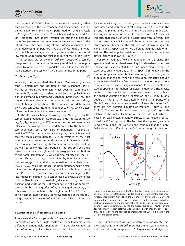



that the main Cu<sup>II</sup>–Co<sup>II</sup> interactions produce broadening rather than narrowing of the Cu<sup>II</sup> resonances. A similar conclusion can be obtained from EPR studies performed on single crystals of 2 (Figure 6, panels B and C), which showed very broad Cu<sup>II</sup> EPR resonance lines at low temperature but the typical four hyperfine pattern at high temperature. Hence, as stated in the introduction, the broadening of the  $Cu<sup>II</sup>$  ion resonance lines when decreasing temperature is due to Cu<sup>II</sup>-Co<sup>II</sup> dipolar interactions which are averaged out at high temperature, but not at low temperature where the relaxation rate of the Co<sup>II</sup> ion is low.

The temperature behavior of Cu<sup>II</sup> EPR spectra of 2 can be interpreted with the random frequency modulation model proposed by Anderson.<sup>[20]</sup> This model assumes that the Hamiltonian describing the system may be split up into three parts

$$
H = H_o + H_p + H_m \tag{3}
$$

where  $H_{\text{o}}$ , the unperturbed Hamiltonian (Zeeman + hyperfine terms), determines the position of the resonance line(s);  $H<sub>px</sub>$  the perturbing Hamiltonian, which does not commute either with  $H_0$  or with  $H_{\text{m}}$ , is determined by the dipolar interaction and eventually anisotropic exchange interactions;  $H_{\text{m}}$ , the motional Hamiltonian, that commutes with  $H_0$  but not with  $H_{\text{p}}$ , cannot change the position of the resonance lines determined by  $H_0$  but can cause the time dependence of  $H_{\text{p}}$ , which determines the lineshape of the resonance lines.<sup>[13,20]</sup>

In the classical exchange narrowing case,  $H<sub>m</sub>$  is given by the temperature independent isotropic exchange interaction  $(H_{me} =$  $\omega_{\text{ex}}$  **S**<sub>Cu</sub>·**S**<sub>Co</sub>, where  $\omega_{\text{ex}} \approx J/\hbar$ ), whereas in the host spin lattice relaxation narrowing case,  $H<sub>m</sub>$  is determined by the temperature dependent spin lattice relaxation parameter  $T_1$  of the Co<sup>II</sup> host ion.<sup>[11a]</sup> For the case we are analyzing here, it is evident that the main contribution to  $H_m$  is determined by the host spin lattice relaxation rate as the changes in linewidth of the Cu<sup>II</sup> resonance lines are highly temperature dependent, but, as we will see below, the contribution of the isotropic exchange interaction shows, though small, non-negligible contributions to the total Hamiltonian H, which is also reflected in the EPR spectra. The fact that  $H<sub>m</sub>$  is determined by two distinct contributions suggests that their discrimination, particularly when  $H_{\text{msl}} >> H_{\text{me}}$ , could be difficult as both simultaneously determine the time dependence of  $H<sub>p</sub>$  and hence the lineshape of the EPR spectra. However, this apparent disadvantage for the less intense interaction  $(H_{me})$  can be used to evaluate the effect of both Hamiltonians by analyzing the effect of  $H_{\text{me}}$  on both position and width of the EPR resonance line at high temperature, as the broadening effect of  $H<sub>p</sub>$  is averaged out by  $H<sub>msl</sub>$ . In other words, the analysis of the single crystal Cu<sup>II</sup> EPR spectra at high temperature can be used to evaluate the exchange coupling constant J between Co<sup>II</sup> and Cu<sup>II</sup> spins, which will be seen below.

#### *g***-Matrix of the CuII Impurity of 2 and 3**

To evaluate the Cu<sup>II</sup> ion g-matrix of 2, we performed EPR measurements on oriented single crystals at room temperature for different magnetic field orientations. The angular variation of the Cu<sup>II</sup> impurity EPR spectra corresponds to the expected one for a monoclinic system, i.e. two groups of four resonance lines each associated with magnetically inequivalent Cu<sup>II</sup> ions in the ab and  $c*b$  planes, and only one in the  $c*a$  plane, in line with the angular variation observed for the Co<sup>II</sup> ions of 1. This fact indicates that some Co<sup>II</sup> ions are substituted with Cu<sup>II</sup> impurities in the crystal lattice of **1** to give **2**. Representative room temperature spectra obtained in the  $c^*a$  plane are shown in Figure 6, panels B and C (spectra i) for two different magnetic field orientations. The full angular variation of the spectra in the three crystal planes is shown in Figure S4.

For some magnetic field orientations in the  $c^*a$  plane, EPR spectra could be simulated assuming four Gaussian-shaped resonance lines, as expected for a Cu<sup>II</sup>-doped magnetic system (see spectrum i in Figure 6, panel C). Spectral simulations in the  $c^*b$  and ab planes were obtained assuming either two groups of four resonance lines when the resolution was large enough to detect resolved hyperfine interaction, or one group of four resonance lines plus one single resonance for other orientations (see Supporting Information for details, Figure S4). The gravity centers of the spectra thus determined were used to obtain the angular variation of the  $g^2$ -factors of the Cu<sup>II</sup> impurity of 2 (Figure 7). The g-matrix associated with the Cu<sup>II</sup> impurity of 2 (Table 2) was obtained as explained for **1** (see above). As for **1**, there are two possible *g*-matrix orientations (Figure S5 and Table 2). The inset on Figure 7 shows the assigned Cu<sup>II</sup> g-matrix relative to the molecular frame of the Co<sup>II</sup> site in 1, which is based on well-known magneto structural correlations established for Cu<sup>II</sup> compounds. The fact that the highest  $q$  value is lying nearly along the Co–O2 bond confirms that the Jahn– Teller distortion suffered by the Cu<sup>II</sup> site is along this direction.



Figure 7. Angular variation of  $g^2(\theta, \phi)$  for the two magnetically inequivalent Cu<sup>II</sup> sites in three crystal planes of 2. Red and blue colors identify each magnetically inequivalent Cu<sup>II</sup> site in the  $ab$  and  $c*b$  crystal planes. Only one group of four resonance lines (black) is observed in the  $c^*a$  plane indicating that Cu<sup>II</sup> impurities follow the symmetry of the Co<sup>II</sup> site in the pure compound **1**. Some experimental points are missed due to uncertainties in the spectral gravity center determination associated with inequivalent copper site. The inset shows the assigned orientation for the Cu<sup>II</sup> ion g-matrix in the Co<sup>II</sup> site molecular frame.

The EPR experiment was also performed on an oriented single crystal of **3**, in which Cu<sup>II</sup> impurities are hosted in a diamagnetic Zn<sup>II</sup> lattice isomorphous to 1. Eigenvalues and eigenvec-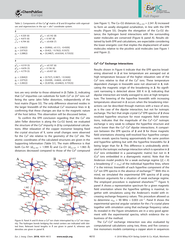



| Table 2. Components of the Cu <sup>II</sup> $q^2$ -matrix of 2 and 3 together with eigenval- |  |
|----------------------------------------------------------------------------------------------|--|
| ues and eigenvectors in the $xyz = abc^*$ coordinate system.                                 |  |

| $\overline{\mathbf{2}}$       |                                                   |
|-------------------------------|---------------------------------------------------|
| $a_{xx}^2$ = 4.320 (6)        | $g_{xy}^2 = \pm 0.142$ (8)                        |
| $a_{\text{vv}}^2$ = 4.673 (6) | $q_{zx}^2$ = 0.187 (8)                            |
| $a^{2}_{zz}$ = 4.794 (6)      | $q_{xy}^2 = \pm 0.438$ (7)                        |
| $g_1 = 2.062(2)$              | $a_1 = [0.89(6), \pm 0.1(1), -0.43(9)]$           |
| $q_2 = 2.073(2)$              | $\mathbf{a}_2 = [0.4(2), \pm 0.76(2), 0.53(7)]$   |
| $q_3 = 2.288(2)$              | $a_3 = [0.248(7), \pm 0.633(4), 0.733(3)]$        |
| 3                             |                                                   |
| $q_{xx}^2$ = 4.319 (5)        | $q_{xy}^2 = \pm 0.107$ (6)                        |
| $g_{\text{vv}}^2$ = 4.676 (5) | $q_{zx}^2$ = 0.156 (6)                            |
| $q_{77}^2$ = 4.779 (5)        | $q_{xy}^2 = \pm 0.437$ (6)                        |
| $q_1 = 2.064(2)$              | $a_1 = [0.75(7), 0.38(7), \pm 0.54(4)]$           |
| $q_2$ = 2.075(2)              | $\mathbf{a}_2 = [0.63(8), -0.66(4), \pm 0.41(6)]$ |
| $q_3 = 2.282(2)$              | $a_3 = [0.207(6), \pm 0.646(3), 0.735(3)]$        |

tors are very similar to those obtained in **2** (Table 2), indicating that Cu<sup>II</sup> impurities can substitute for both Co<sup>II</sup> or Zn<sup>II</sup> ions suffering the same Jahn–Teller distortion, independently of the host matrix (Figure S5). The only difference observed resides in the larger linewidth of the individual Cu<sup>II</sup> resonance lines in 2, confirming that these changes are due to the magnetic nature of the host lattice. This observation will be discussed below.

To confirm the EPR conclusion regarding that the  $Cu<sup>II</sup>$  site Jahn–Teller distortion is along the Cu-O2 bond, we evaluated the structure of the Cu<sup>II</sup> impurity in 2 by computational calculations. After relaxation of the copper monomer keeping fixed the crystal structure of **1**, some small changes were observed for the Cu<sup>II</sup> site relative to the geometry of the Co<sup>II</sup> site. The atomic coordinates of the calculated structures are given in the Supporting Information (Table S1). The main difference is that both Cu–N1 ( $d_{Cu-N1}$  = 1.999 Å) and Cu–O1 ( $d_{Cu-O1}$  = 1.965 Å) distances decreased compared to those of the Co<sup>II</sup> compound



Figure 8. Panel A and B show a Co<sup>II</sup> ion chain interrupted by a Cu<sup>II</sup> ion impurity. The hydrogen bonds bridging the metal centers are indicated with dotted lines. Relevant bond lengths in Å are given in panel A, whereas spin densities are given in panel B.

(see Figure 1). The Cu–O2 distances ( $d_{Cu-O2}$  = 2.341 Å) increased to form an axially elongated octahedron, in line with the EPR results (Figure S5). Despite the elongation of the Cu-O2 distance, the hydrogen bond interactions with the surrounding water molecules are conserved (Figure 8, panel A). Results obtained by both EPR and calculations, are expectable considering the lower energetic cost that implies the displacement of water molecules relative to the picolinic acid molecules (see Figure 1 and Figure 2).

#### **CuII–CoII Exchange Interactions**

Results shown in Figure 6 indicate that the EPR spectra broadening observed in **2** at low temperature are averaged out at high temperature because of the higher relaxation rate of the  $Co<sup>II</sup>$  ions relative to that of the Cu<sup>II</sup> ions. These temperature dependent changes in linewidth were not observed in **3**, indicating the magnetic origin of the broadening in **2**. No significant narrowing is detected above 300 K in **2**, indicating that dipolar interaction are totally averaged to zero at high temperature. The lowering of the hyperfine linewidth with increasing temperatures observed in **2** occurs when the broadening interactions can be described through matrices with a trace of zero, as is the case of the dipolar interaction, but not for isotropic exchange. The fact that single crystal Cu<sup>II</sup> EPR spectra of 2 show resolved hyperfine structure for most magnetic field orientations, indicates that the magnitude of the  $Cu<sup>II</sup>-Co<sup>II</sup>$  isotropic exchange is very weak to collapse the hyperfine structure and much lower than the  $Cu<sup>II</sup>-Co<sup>II</sup>$  dipolar interactions. A comparison between the EPR spectra of **2** and **3** for those magnetic field orientations showing well-resolved four hyperfine components reveals spectra having approximately the same position and hyperfine splitting but with the hyperfine linewidths for **2** being larger than for **3**. This difference is undoubtedly attributed to the isotropic exchange interaction which is operative in **2** (CuII ions embedded in a paramagnetic matrix) but not in **3** (Cu<sup>II</sup> ions embedded in a diamagnetic matrix). Note that the Anderson model predicts for a weak exchange regime ( $|J| < A$ ) a broadening (*Γ* + *ω*ex) of the individual hyperfine lines, where *Γ* is the intrinsic linewidth of each hyperfine component of the  $Cu<sup>II</sup>$  ion EPR spectra in the absence of exchange.<sup>[21]</sup> With this in mind, we simulated the experimental EPR spectra of **2** using Anderson arguments for a situation of weak exchange regime. The employed procedure is explained elsewhere.<sup>[21]</sup> Figure 9, panel A shows a representative spectrum for a given magnetic field orientation where the hyperfine splitting is maximal, together with simulations using the Anderson's model with increasing exchange frequency values. This procedure allowed us to determine  $\omega_{ex}$  = 90 MHz = 0.003 cm<sup>-1</sup>. Panel B shows the experimental spectral angular variation for the  $c^*a$  crystal plane together with simulation using that exchange frequency value. As revealed in the Figure simulations are in a very good agreement with the experimental spectra, which evidence the robustness of the method.

The Cu<sup>II</sup>–Co<sup>II</sup> exchange interaction was also evaluated by computational calculations using two, three, and five consecutive monomers models containing a copper atom in sequences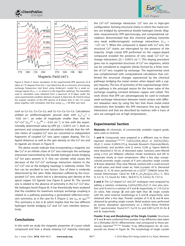





Figure 9. Panel A shows simulation of the experimental EPR spectrum of **2** taken at 175 degrees from the c\* axis (black line, **2**) as a function of increasing exchange frequencies (red lines) using Anderson's model for a weak exchange regime (ħ*ω*ex << A, where A is the hyperfine splitting). The linewidths used in simulation were obtained from a spectrum of **3** taken under the same experimental condition (bottom of panel A, black line, **3**). Panel B shows the angular variation of the EPR spectra of  $2$  (black line) in the  $c^*a$  crystal plane together with simulation (red line) using  $ω_{ex}$  = 90 MHz (see text).

such as Cu–Co, Co–Cu–Co, and Co–Co–Cu–Co–Co. Calculations yielded an antiferromagnetic ground state with  $J_{\text{Cu}}^{\text{II}}$   $_{\text{--Co}}^{\text{II}}$   $\approx$  $-0.02$  cm<sup>-1</sup>, an order of magnitude smaller than that for Co<sup>II</sup>–Co<sup>II</sup> ( $J_{3/2}^{AA} = J_{3/2}^{BB} = -0.24$  cm<sup>-1</sup>), in line with the experimentally determined value by EPR ( $|J| = 0.0015$  cm<sup>-1</sup>). Both experiment and computational calculations indicate that the infinite chains of coupled  $Co<sup>II</sup>$  ions are converted to independent fragments of coupled Co<sup>II</sup> ions upon copper doping. The Culigand distances as well as the spin density on the Cu<sup>II</sup> ion and its ligands are shown in Figure 8.

The above results indicate that incorporating a magnetic ion like Cu<sup>II</sup> in an infinite chain of Co<sup>II</sup> ions interrupts the exchange interaction transmitted by the double hydrogen bonds bridging Co<sup>II</sup> ion pairs present in 1. One can wonder what causes the decrease of the Cu<sup>II</sup>–Co<sup>II</sup> exchange interaction relative to the  $Co<sup>II</sup>-Co<sup>II</sup>$  one as the bridging topology is relatively similar. This fact can be ascribed to two factors. One of them is evidently determined by the Jahn–Teller distortion suffered by the incorporated Cu<sup>II</sup> ions, which led to a decreasing spin density at the apical copper O2 ligands (see Figure 8, panel B). The second one is related to the absence of symmetry in the Cu<sup>II</sup>–Co<sup>II</sup> double hydrogen bond (Figure 8). It has theoretically been analyzed that the condition for maximum isotropic exchange coupling is related to a pathway presenting a generalized reflection-inversion symmetry, as is the case for **1** (Figure 2, see  $J_{AA}$  or  $J_{BB}$ ).<sup>[22]</sup> This symmetry is lost in **2**, which implies that the two different hydrogen bonds bridging  $Cu<sup>II</sup>$  and  $Co<sup>II</sup>$  ions interfere destructively.

# **Conclusions**

In this work we study the magnetic properties of a pure cobalt compound and how a slowly relaxing  $Cu<sup>II</sup>$  impurity interrupts the Co<sup>II</sup>–Co<sup>II</sup> exchange interaction. Co<sup>II</sup> ions are in high-spin configuration, forming structural chains in which the metal centers are bridged by symmetrical double hydrogen bonds. Magnetic measurements, EPR spectroscopy, and computational calculations demonstrated that this chemical pathway transmits very weak antiferromagnetic exchange interactions  $(J_{1/2}$  =  $-1.07$  cm<sup>-1</sup>). When this compound is doped with Cu<sup>II</sup> ions, the structural Co<sup>II</sup> chains are interrupted by the presence of the impurity. Single crystal EPR performed on the copper-doped compound revealed the presence of very weak  $Cu<sup>II</sup>-Co<sup>II</sup>$  exchange interactions ( $|J| = 0.0015$  cm<sup>-1</sup>). This doping procedure gives rise to segmented structures of Co<sup>II</sup> ion oligomers, which can be considered as magnetic blocks formed by a finite number of  $Co<sup>II</sup>$  ions coupled by exchange. The experimental work was complemented with computational calculations that confirmed the structural changes experienced by the chemical pathways bridging the metal centers when doped with a copper impurity. The loss of symmetry of the superexchange chemical pathway is the principal reason for the lower value of the exchange coupling constant between copper and cobalt. This work shows that EPR can advantageously be used to evaluate weak exchange interactions between metal centers with different relaxation rates by using the fact that those metal–metal interactions that broaden the EPR resonance line (e.g. dipolar interaction) and that are described by matrices with a trace of zero are averaged out at high temperatures.

# **Experimental Section**

**Materials:** All chemicals, of commercially available reagent grade, were used as received.

**1 and 4:** Compounds were prepared in a different way to those reported elsewhere.<sup>[12b,12a]</sup> Co(CH<sub>3</sub>COO)<sub>2</sub>·4H<sub>2</sub>O or Zn(CH<sub>3</sub>COO)<sub>2</sub>· 2H<sub>2</sub>O (1 mmol, 0.249/0.219 g, Avocado Research Chemicals/Merck, respectively), and picolinic acid (2 mmol, 0.246 g, Sigma–Aldrich) were dissolved in 50 mL of deionized water. Solutions were filtered using a 0.22 μm Millipore cellulose nitrate membrane and left to evaporate slowly at room temperature. After a few days orangecolored prismatic single crystals of **1** and colourless single crystals of **4** were obtained. They were filtered, washed with a small amount of cold water, and dried under air. Yield (crystals): 45 %. Elemental analyses (C, H, N) were performed on a LECO® CHN628 Series Elemental Determinator. Calcd for  $1/4$  (C<sub>12</sub>H<sub>16</sub>N<sub>2</sub>O<sub>8</sub>Co<sub>1</sub>/Zn<sub>1</sub>): C, 38.4; H, 4.3; N, 7.5; found for **1**/**4** C, 38.0/37.5; H, 4.4/4.2; N, 7.5/7.4.

2 and 3: The Cu<sup>II</sup>-doped Co<sup>II</sup> and Zn<sup>II</sup> analogues were prepared by adding a solution containing Cu(CH<sub>3</sub>COO)<sub>2</sub>·H<sub>2</sub>O (2 mm) plus picolinic acid (4 mM) to a solution of **1** and **4**, respectively, in 1:10 Cu:Co/ Zn ratios. Pale orange (**2**) and pale light blue (**3**) single crystals with the same external morphology to **1** and **4**, respectively, were obtained after a few days. Powder samples of **1**, **2**, **3**, and **4** were obtained by grinding single crystals. Metal analysis were performed by atomic absorption spectrometry on a Perkin–Elmer PinAAcle 900 T spectrometer. Found 0.71 Cu/10 Co and 0.89 Cu/10 Zn for **2** and **3**, respectively.

**Powder X-ray and Morphology of the Single Crystals:** Structures of **1** and **4** were confirmed from powder X-ray diffraction data taken on a Shimadzu XD-D1 diffractometer, and correspond to those previously reported.[12b,12a] Powder X-ray diffractograms for all compounds are shown in Figure S6. The morphology of single crystals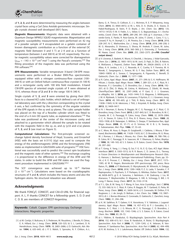

of **1**, **2**, **3**, and **4** were determined by measuring the angles between crystal faces using a Carl Zeiss Axiolab goniometric microscope. Single crystals showed well developed (001) faces.

**Magnetic Measurements:** Magnetic data were obtained with a Quantum Design MPMS2 SQUID magnetometer. Magnetization and magnetic susceptibility measurements were performed on 42 mg of a powder sample of **1** encapsulated on a gelatin container of known diamagnetic contribution as a function of the external DC magnetic field (between 0 and 5 T) at 2 K and as a function of temperature (between 2 and 300 K) at 50 mT, respectively. The molar magnetic susceptibility values were corrected for diamagnetism  $(\chi_{\text{DIA}} = -143 \times 10^{-6} \text{ cm}^3 \text{ mol}^{-1})$  using the Pascal's constants.<sup>[23]</sup> The fitting procedure of the magnetic data was performed using the PHI software.<sup>[24]</sup>

**EPR Measurements:** Variable temperature X-band CW-EPR measurements were performed on a Bruker EMX-Plus spectrometer, equipped either with a nitrogen continuous-flow cryostat (100– 340 K) or with an Oxford helium continuous-flow cryostat (4–100 K) and a rectangular cavity with 100 kHz field modulation. X-band CW-EPR spectra of oriented single crystals of **1** were obtained at 10 K, whereas those of **2** and **3** in the range 100 K–340 K.

Single crystals of **1**, **2**, and **3** were oriented by gluing their (001) faces to a cleaved KCl cubic holder, which defined a set of orthogonal laboratory axes with the y direction corresponding to the crystal b axis, a fact confirmed by the symmetry of the angular variation of the EPR signals in the xy and zy planes. The cubic sample holder was placed on the top of a Rexolite cylinder which was fitted to the end of a 4 mm OD quartz tube, as explained elsewhere.<sup>[19]</sup> The tube was positioned at the center of the microwave cavity and attached to a goniometer which allowed the sample to be rotated with the magnetic field in the xy, zx, and zy  $(y||b$  and  $x||a)$  planes of **1**, **2**, and **3** (see inset on Figure 5).

**Computational Calculations:** The first-principle screened exchange hybrid density functional of Heyd, Scuseria, and Ernzerhof (HSE) with the basis set 6-311G (d,p) was used to compute the energy of the antiferromagnetic (AFM) and the ferromagnetic (FM) states as implemented in GAUSSIAN suite of programs.[25] HSE functional was successfully used to predict the correct spin localization and the magnetic state of other systems.<sup>[26]</sup> The exchange coupling J is proportional to the difference in energy of the AFM and FM states. In order to build the AFM and FM states we used the fragment procedure implemented in GAUSSIAN.[25c]

The SCF convergence was achieved up to  $10^{-9}$  Hartree  $(2 \times 10^{-4} \text{ cm}^{-1})$ . Calculations were based on the crystallographic structures of **1** and **4**, which includes the heavy atoms and also the hydrogen atoms. No structural relaxation was allowed.

# *Acknowledgments*

We thank FONCyT, CONICET, and CAI+D-UNL for financial support. A. L. P. thanks CONICET for a fellowship grant. S. D. D and C. D. B. are members of CONICET-Argentina.

**Keywords:** Cobalt. Copper. EPR spectroscopy. Exchange interactions. Magnetic properties

[1] a) M. Cortijo, V. Bulicanu, K. S. Pedersen, M. Rouzières, J. Bendix, R. Clérac, E. A. Hillard, Eur. J. Inorg. Chem. **2018**, 320–325; b) S. L. Lambert, D. N. Hendrickson, Inorg. Chem. **1979**, 18, 2683–2686; c) D. Gatteschi, Adv. Mater. **1994**, 6, 635–645; d) J. P. S. Walsh, S. Sproules, N. F. Chilton, A.-L.



Barra, G. A. Timco, D. Collison, E. J. L. McInnes, R. E. P. Winpenny, Inorg. Chem. **2014**, 53, 8464–8472; e) M. L. Kirk, D. A. Shultz, D. E. Stasiw, D. Habel-Rodriguez, B. Stein, P. D. Boyle, J. Am. Chem. Soc. **2013**, 135, 14713–14725; f) M. V. Fedin, S. L. Veber, E. G. Bagryanskaya, V. I. Ovcharenko, Coord. Chem. Rev. **2015**, 289–290, 341–356; g) Y. Journaux, J. Ferrando-Soria, E. Pardo, R. Ruiz-Garcia, M. Julve, F. Lloret, J. Cano, Y. Li, L. Lisnard, P. Yu, H. Stumpf, C. L. M. Pereira, Eur. J. Inorg. Chem. **2018**, 2018, 228–247; h) C. Mathonière, Eur. J. Inorg. Chem. **2018**, 2018, 248–258; i) M. G. Alexandru, D. Visinescu, S. Shova, M. Andruh, F. Lloret, M. Julve, Eur. J. Inorg. Chem. **2018**, 2018, 360–369; j) S. Ostrovsky, Z. Tomkowicz, W. Haase, Coord. Chem. Rev. **2009**, 253, 2363–2375. *((<=PM: CrossRef notyet done))*.

- [2] a) V. Lloveras, E. Badetti, K. Wurst, V. Chechik, J. Veciana, J. Vidal-Gancedo, Chem. Eur. J. **2016**, 22, 1805–1815; b) M. Jurić, D. Pajić, D. Žilić, B. Rakvin, K. Molčanov, J. Popović, Dalton Trans. **2015**, 44, 20626–20635; c) R. A. Allao, A. K. Jordao, J. A. L. C. Resende, A. C. Cunha, V. F. Ferreira, M. A. Novak, C. Sangregorio, L. Sorace, M. G. F. Vaz, Dalton Trans. **2011**, 40, 10843–10850; d) L. Sorace, C. Sangregorio, A. Figuerola, C. Benelli, D. Gatteschi, Chem. Eur. J. **2009**, 15, 1377–1388.
- [3] a) R. Calvo, Appl. Magn. Reson. **2007**, 31, 271–299; b) S. K. Hoffmann, W. Hilczer, J. Goslar, Appl. Magn. Reson. **1994**, 7, 289–321; c) A. C. Rizzi, N. I. Neuman, P. J. González, C. D. Brondino, Eur. J. Inorg. Chem. **2016**, 192– 207; d) D. Žilić, D. Maity, M. Cetina, K. Molčanov, Z. Džolić, M. Herak, ChemPhysChem **2017**, 18, 2397–2408; e) P. Gast, E. J. J. Groenen, in eMagRes, Vol. 5, **2016**, pp. 1435–1444; f) D. Maganas, S. Milikisyants, J. M. A. Rijnbeek, S. Sottini, N. Levesanos, P. Kyritsis, E. J. J. Groenen, Inorg. Chem. **2010**, 49, 595–605; g) J. Titiš, R. Boča, Inorg. Chem. **2011**, 50, 11838–11845; h) M. Idesicova, J. Titiš, J. Krzystek, R. BoÄýa, Inorg. Chem. **2013**, 52, 9409–9417.
- [4] a) N. I. Neuman, E. Burna, R. Baggio, M. C. G. Passeggi, A. C. Rizzi, C. D. Brondino, Inorg. Chem. Front. **2015**, 2, 837–845; b) C. D. Brondino, N. M. C. Casado, M. C. G. Passeggi, R. Calvo, Inorg. Chem. **1993**, 32, 2078–2084; c) C. A. Steren, R. Calvo, O. E. Piro, B. E. Rivero, Inorg. Chem. **1989**, 28, 1933–1938; d) B. Natarajan, S. Mithira, S. Deepa, P. Sambasiva Rao, Appl. Magn. Reson. **2008**, 35, 57–71; e) D. Srinivas, M. V. B. L. N. Swamy, S. Subramanian, Mol. Phys. **1986**, 57, 55–63.
- [5] a) C. More, M. Asso, G. Roger, B. Guigliarelli, J. Caldeira, J. Moura, P. Bertrand, Biochemistry **2005**, 44, 11628–11635; b) C. D. Brondino, M. G. Rivas, M. J. Romao, J. J. Moura, I. Moura, Acc. Chem. Res. **2006**, 39, 788–796; c) R. Calvo, M. C. Passeggi, R. A. Isaacson, M. Y. Okamura, G. Feher, Biophys. J. **1990**, 58, 149–165; d) S. S. Eaton, G. R. Eaton, Coord. Chem. Rev. **1978**, 26, 207–262.
- [6] a) T. Gong, X. Yang, J. J. Fang, Q. Sui, F. G. Xi, E. Q. Gao, ACS Appl. Mater. Interfaces **2017**, 9, 5503–5512; b) R. R. Baum, C. D. James, D. L. Tierney, in Future Directions in Metalloprotein and Metalloenzyme Research (Eds.: G. Hanson, L. Berliner), Springer International Publishing, Cham, pp. 33– 54; c) K. E. Prosser, C. J. Walsby, Eur. J. Inorg. Chem. **2017**, 2017, 1573– 1585; d) W. R. Hagen, Biomolecular EPR spectroscopy, CRC press, Boca Raton, FL, **2008**; e) P. Maslewski, D. Wyrzykowski, M. Witwicki, A. Dołęga, Eur. J. Inorg. Chem. **2018**, 2018, 1399–1408; f) Z. G. Lada, Y. Sanakis, C. P. Raptopoulou, V. Psycharis, S. P. Perlepes, G. Mitrikas, Dalton Trans. **2017**, 46, 8458–8475; g) E. A. Suturina, J. Nehrkorn, J. M. Zadrozny, J. Liu, M. Atanasov, T. Weyhermüller, D. Maganas, S. Hill, A. Schnegg, E. Bill, J. R. Long, F. Neese, Inorg. Chem. **2017**, 56, 3102–3118.
- [7] a) Y. L. Qin, B. W. Yang, G. F. Wang, H. Sun, Acta Crystallogr., Sect. C **2016**, 72, 555–560; b) A. C. Rizzi, R. Calvo, R. Baggio, M. T. Garland, O. Peña, M. Perec, Inorg. Chem. **2002**, 41, 5609–5614; c) E. Coronado, M. Drillon, P. R. Nugteren, L. J. de Jongh, D. Beltran, J. Am. Chem. Soc. **1988**, 110, 3907– 3913; d) J. J. Borras-Almenar, E. Coronado, D. Gatteschi, C. Zanchini, Inorg. Chem. **1992**, 31, 294–298.
- [8] a) K. M. Salikhov, R. T. Galeev, V. K. Voronkova, Y. V. Yablokov, J. Legendziewicz, Appl. Magn. Reson. **1998**, 14, 457–472; b) P. J. González, G. I. Barrera, A. C. Rizzi, J. J. G. Moura, M. C. G. Passeggi, C. D. Brondino, J. Inorg. Biochem. **2009**, 103, 1342–1346; c) S. S. Eaton, G. R. Eaton, Coord. Chem. Rev. **1988**, 83, 29–72.
- [9] a) I. Yildirim, B. Karabulut, O. Büyükgüngör, Spectrochim. Acta Part A **2016**, 152, 608–613; b) I. Ucar, B. Karabulut, A. Bulut, O. Büyükgüngör, Spectrochim. Acta Part A **2008**, 71, 1239–1245; c) K. Velavan, R. Venkatesan, P. Sambasiva Rao, Spectrochim. Acta Part A **2005**, 62, 494–499; d) R. M. Krishna, S. V. J. Lakshmana, Radiat. Eff. Defects Solids **1994**, 132,